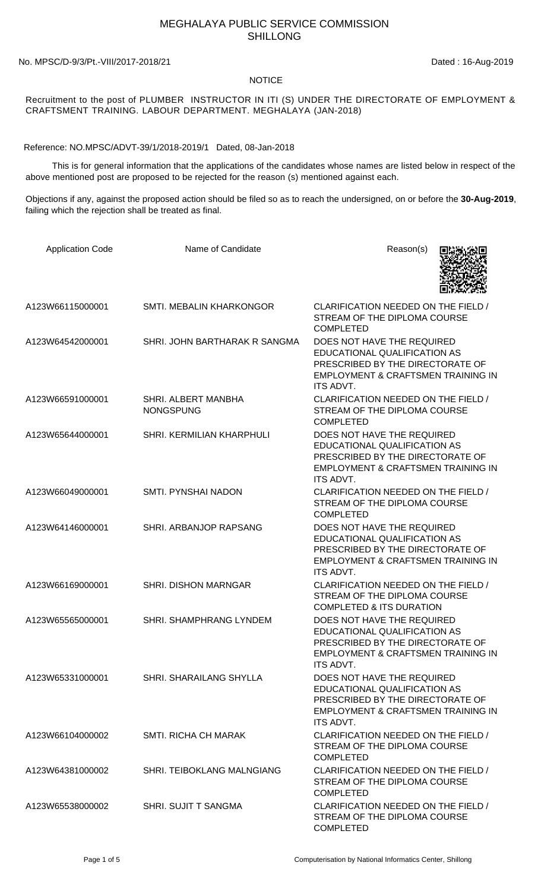## MEGHALAYA PUBLIC SERVICE COMMISSION SHILLONG

No. MPSC/D-9/3/Pt.-VIII/2017-2018/21 Dated : 16-Aug-2019

## **NOTICE**

Recruitment to the post of PLUMBER INSTRUCTOR IN ITI (S) UNDER THE DIRECTORATE OF EMPLOYMENT & CRAFTSMENT TRAINING. LABOUR DEPARTMENT. MEGHALAYA (JAN-2018)

Reference: NO.MPSC/ADVT-39/1/2018-2019/1 Dated, 08-Jan-2018

 This is for general information that the applications of the candidates whose names are listed below in respect of the above mentioned post are proposed to be rejected for the reason (s) mentioned against each.

Objections if any, against the proposed action should be filed so as to reach the undersigned, on or before the **30-Aug-2019**, failing which the rejection shall be treated as final.

| <b>Application Code</b> | Name of Candidate                       | Reason(s)                                                                                                                                                           |
|-------------------------|-----------------------------------------|---------------------------------------------------------------------------------------------------------------------------------------------------------------------|
| A123W66115000001        | SMTI. MEBALIN KHARKONGOR                | CLARIFICATION NEEDED ON THE FIELD /<br>STREAM OF THE DIPLOMA COURSE<br><b>COMPLETED</b>                                                                             |
| A123W64542000001        | SHRI. JOHN BARTHARAK R SANGMA           | DOES NOT HAVE THE REQUIRED<br>EDUCATIONAL QUALIFICATION AS<br>PRESCRIBED BY THE DIRECTORATE OF<br>EMPLOYMENT & CRAFTSMEN TRAINING IN<br>ITS ADVT.                   |
| A123W66591000001        | SHRI. ALBERT MANBHA<br><b>NONGSPUNG</b> | CLARIFICATION NEEDED ON THE FIELD /<br>STREAM OF THE DIPLOMA COURSE<br><b>COMPLETED</b>                                                                             |
| A123W65644000001        | SHRI. KERMILIAN KHARPHULI               | DOES NOT HAVE THE REQUIRED<br>EDUCATIONAL QUALIFICATION AS<br>PRESCRIBED BY THE DIRECTORATE OF<br><b>EMPLOYMENT &amp; CRAFTSMEN TRAINING IN</b><br><b>ITS ADVT.</b> |
| A123W66049000001        | <b>SMTI. PYNSHAI NADON</b>              | CLARIFICATION NEEDED ON THE FIELD /<br>STREAM OF THE DIPLOMA COURSE<br><b>COMPLETED</b>                                                                             |
| A123W64146000001        | SHRI. ARBANJOP RAPSANG                  | DOES NOT HAVE THE REQUIRED<br>EDUCATIONAL QUALIFICATION AS<br>PRESCRIBED BY THE DIRECTORATE OF<br>EMPLOYMENT & CRAFTSMEN TRAINING IN<br><b>ITS ADVT.</b>            |
| A123W66169000001        | SHRI. DISHON MARNGAR                    | CLARIFICATION NEEDED ON THE FIELD /<br>STREAM OF THE DIPLOMA COURSE<br><b>COMPLETED &amp; ITS DURATION</b>                                                          |
| A123W65565000001        | <b>SHRI. SHAMPHRANG LYNDEM</b>          | DOES NOT HAVE THE REQUIRED<br>EDUCATIONAL QUALIFICATION AS<br>PRESCRIBED BY THE DIRECTORATE OF<br>EMPLOYMENT & CRAFTSMEN TRAINING IN<br>ITS ADVT.                   |
| A123W65331000001        | SHRI. SHARAILANG SHYLLA                 | DOES NOT HAVE THE REQUIRED<br>EDUCATIONAL QUALIFICATION AS<br>PRESCRIBED BY THE DIRECTORATE OF<br>EMPLOYMENT & CRAFTSMEN TRAINING IN<br>ITS ADVT.                   |
| A123W66104000002        | <b>SMTI. RICHA CH MARAK</b>             | CLARIFICATION NEEDED ON THE FIELD /<br>STREAM OF THE DIPLOMA COURSE<br><b>COMPLETED</b>                                                                             |
| A123W64381000002        | <b>SHRI. TEIBOKLANG MALNGIANG</b>       | CLARIFICATION NEEDED ON THE FIELD /<br>STREAM OF THE DIPLOMA COURSE<br><b>COMPLETED</b>                                                                             |
| A123W65538000002        | SHRI. SUJIT T SANGMA                    | CLARIFICATION NEEDED ON THE FIELD /<br>STREAM OF THE DIPLOMA COURSE<br><b>COMPLETED</b>                                                                             |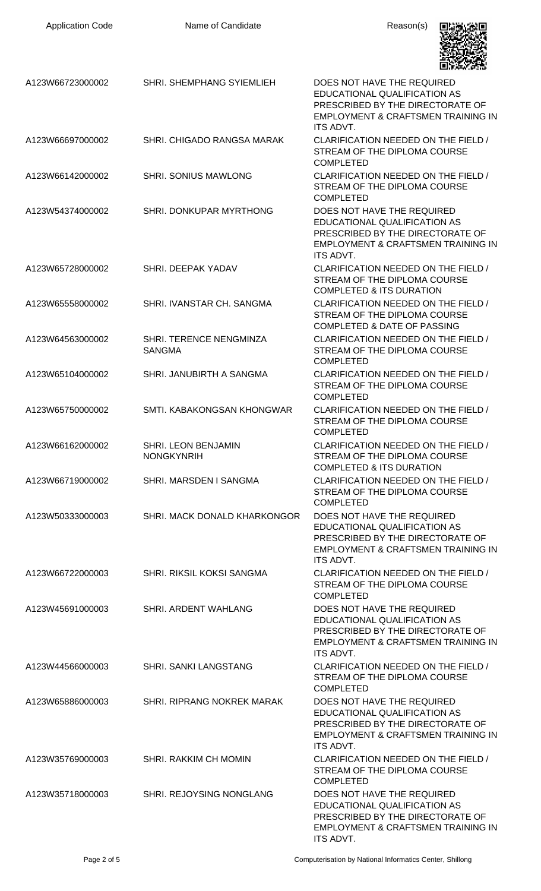| <b>Application Code</b> | Name of Candidate                               | Reason(s)                                                                                                                                                           |
|-------------------------|-------------------------------------------------|---------------------------------------------------------------------------------------------------------------------------------------------------------------------|
| A123W66723000002        | <b>SHRI. SHEMPHANG SYIEMLIEH</b>                | DOES NOT HAVE THE REQUIRED<br>EDUCATIONAL QUALIFICATION AS<br>PRESCRIBED BY THE DIRECTORATE OF<br><b>EMPLOYMENT &amp; CRAFTSMEN TRAINING IN</b><br><b>ITS ADVT.</b> |
| A123W66697000002        | SHRI. CHIGADO RANGSA MARAK                      | CLARIFICATION NEEDED ON THE FIELD /<br>STREAM OF THE DIPLOMA COURSE<br><b>COMPLETED</b>                                                                             |
| A123W66142000002        | <b>SHRI. SONIUS MAWLONG</b>                     | CLARIFICATION NEEDED ON THE FIELD /<br>STREAM OF THE DIPLOMA COURSE<br><b>COMPLETED</b>                                                                             |
| A123W54374000002        | SHRI. DONKUPAR MYRTHONG                         | DOES NOT HAVE THE REQUIRED<br>EDUCATIONAL QUALIFICATION AS<br>PRESCRIBED BY THE DIRECTORATE OF<br>EMPLOYMENT & CRAFTSMEN TRAINING IN<br><b>ITS ADVT.</b>            |
| A123W65728000002        | SHRI. DEEPAK YADAV                              | CLARIFICATION NEEDED ON THE FIELD /<br>STREAM OF THE DIPLOMA COURSE<br><b>COMPLETED &amp; ITS DURATION</b>                                                          |
| A123W65558000002        | SHRI. IVANSTAR CH. SANGMA                       | CLARIFICATION NEEDED ON THE FIELD /<br>STREAM OF THE DIPLOMA COURSE<br><b>COMPLETED &amp; DATE OF PASSING</b>                                                       |
| A123W64563000002        | SHRI. TERENCE NENGMINZA<br><b>SANGMA</b>        | CLARIFICATION NEEDED ON THE FIELD /<br>STREAM OF THE DIPLOMA COURSE<br><b>COMPLETED</b>                                                                             |
| A123W65104000002        | SHRI. JANUBIRTH A SANGMA                        | CLARIFICATION NEEDED ON THE FIELD /<br>STREAM OF THE DIPLOMA COURSE<br><b>COMPLETED</b>                                                                             |
| A123W65750000002        | SMTI. KABAKONGSAN KHONGWAR                      | CLARIFICATION NEEDED ON THE FIELD /<br>STREAM OF THE DIPLOMA COURSE<br><b>COMPLETED</b>                                                                             |
| A123W66162000002        | <b>SHRI. LEON BENJAMIN</b><br><b>NONGKYNRIH</b> | CLARIFICATION NEEDED ON THE FIELD /<br>STREAM OF THE DIPLOMA COURSE<br><b>COMPLETED &amp; ITS DURATION</b>                                                          |
| A123W66719000002        | SHRI, MARSDEN I SANGMA                          | CLARIFICATION NEEDED ON THE FIELD /<br>STREAM OF THE DIPLOMA COURSE<br><b>COMPLETED</b>                                                                             |
| A123W50333000003        | SHRI. MACK DONALD KHARKONGOR                    | DOES NOT HAVE THE REQUIRED<br>EDUCATIONAL QUALIFICATION AS<br>PRESCRIBED BY THE DIRECTORATE OF<br>EMPLOYMENT & CRAFTSMEN TRAINING IN<br><b>ITS ADVT.</b>            |
| A123W66722000003        | SHRI. RIKSIL KOKSI SANGMA                       | CLARIFICATION NEEDED ON THE FIELD /<br>STREAM OF THE DIPLOMA COURSE<br><b>COMPLETED</b>                                                                             |
| A123W45691000003        | SHRI. ARDENT WAHLANG                            | DOES NOT HAVE THE REQUIRED<br>EDUCATIONAL QUALIFICATION AS<br>PRESCRIBED BY THE DIRECTORATE OF<br>EMPLOYMENT & CRAFTSMEN TRAINING IN<br><b>ITS ADVT.</b>            |
| A123W44566000003        | <b>SHRI. SANKI LANGSTANG</b>                    | CLARIFICATION NEEDED ON THE FIELD /<br>STREAM OF THE DIPLOMA COURSE<br><b>COMPLETED</b>                                                                             |
| A123W65886000003        | <b>SHRI, RIPRANG NOKREK MARAK</b>               | DOES NOT HAVE THE REQUIRED<br>EDUCATIONAL QUALIFICATION AS<br>PRESCRIBED BY THE DIRECTORATE OF<br>EMPLOYMENT & CRAFTSMEN TRAINING IN<br><b>ITS ADVT.</b>            |
| A123W35769000003        | SHRI. RAKKIM CH MOMIN                           | CLARIFICATION NEEDED ON THE FIELD /<br>STREAM OF THE DIPLOMA COURSE<br><b>COMPLETED</b>                                                                             |
| A123W35718000003        | SHRI. REJOYSING NONGLANG                        | DOES NOT HAVE THE REQUIRED<br>EDUCATIONAL QUALIFICATION AS<br>PRESCRIBED BY THE DIRECTORATE OF<br>EMPLOYMENT & CRAFTSMEN TRAINING IN<br>ITS ADVT.                   |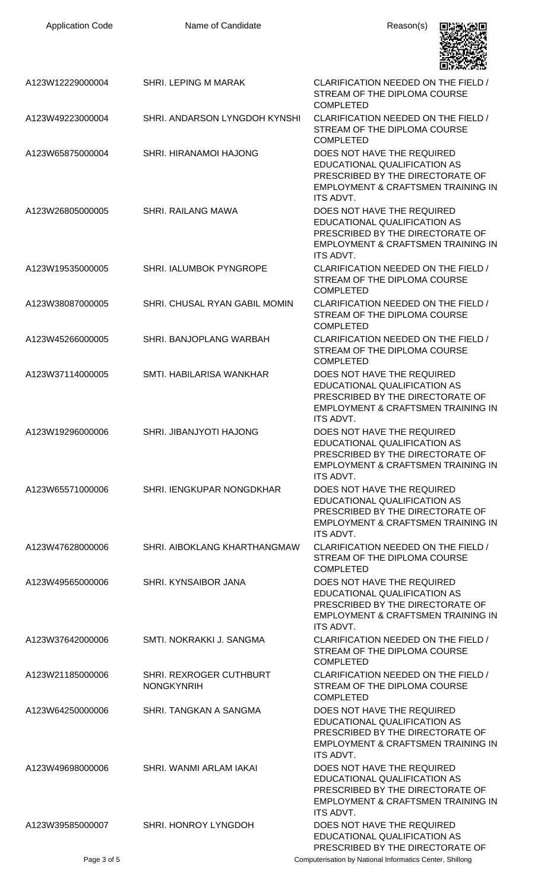| <b>Application Code</b> | Name of Candidate                            | Reason(s)                                                                                                                                                           |
|-------------------------|----------------------------------------------|---------------------------------------------------------------------------------------------------------------------------------------------------------------------|
| A123W12229000004        | <b>SHRI. LEPING M MARAK</b>                  | CLARIFICATION NEEDED ON THE FIELD /<br>STREAM OF THE DIPLOMA COURSE<br><b>COMPLETED</b>                                                                             |
| A123W49223000004        | SHRI. ANDARSON LYNGDOH KYNSHI                | CLARIFICATION NEEDED ON THE FIELD /<br>STREAM OF THE DIPLOMA COURSE<br><b>COMPLETED</b>                                                                             |
| A123W65875000004        | SHRI. HIRANAMOI HAJONG                       | DOES NOT HAVE THE REQUIRED<br>EDUCATIONAL QUALIFICATION AS<br>PRESCRIBED BY THE DIRECTORATE OF<br><b>EMPLOYMENT &amp; CRAFTSMEN TRAINING IN</b><br>ITS ADVT.        |
| A123W26805000005        | SHRI. RAILANG MAWA                           | DOES NOT HAVE THE REQUIRED<br>EDUCATIONAL QUALIFICATION AS<br>PRESCRIBED BY THE DIRECTORATE OF<br><b>EMPLOYMENT &amp; CRAFTSMEN TRAINING IN</b><br><b>ITS ADVT.</b> |
| A123W19535000005        | SHRI. IALUMBOK PYNGROPE                      | CLARIFICATION NEEDED ON THE FIELD /<br>STREAM OF THE DIPLOMA COURSE<br><b>COMPLETED</b>                                                                             |
| A123W38087000005        | SHRI. CHUSAL RYAN GABIL MOMIN                | CLARIFICATION NEEDED ON THE FIELD /<br>STREAM OF THE DIPLOMA COURSE<br><b>COMPLETED</b>                                                                             |
| A123W45266000005        | SHRI. BANJOPLANG WARBAH                      | CLARIFICATION NEEDED ON THE FIELD /<br>STREAM OF THE DIPLOMA COURSE<br><b>COMPLETED</b>                                                                             |
| A123W37114000005        | SMTI. HABILARISA WANKHAR                     | DOES NOT HAVE THE REQUIRED<br>EDUCATIONAL QUALIFICATION AS<br>PRESCRIBED BY THE DIRECTORATE OF<br><b>EMPLOYMENT &amp; CRAFTSMEN TRAINING IN</b><br>ITS ADVT.        |
| A123W19296000006        | SHRI. JIBANJYOTI HAJONG                      | DOES NOT HAVE THE REQUIRED<br>EDUCATIONAL QUALIFICATION AS<br>PRESCRIBED BY THE DIRECTORATE OF<br><b>EMPLOYMENT &amp; CRAFTSMEN TRAINING IN</b><br><b>ITS ADVT.</b> |
| A123W65571000006        | SHRI. IENGKUPAR NONGDKHAR                    | DOES NOT HAVE THE REQUIRED<br>EDUCATIONAL QUALIFICATION AS<br>PRESCRIBED BY THE DIRECTORATE OF<br><b>EMPLOYMENT &amp; CRAFTSMEN TRAINING IN</b><br>ITS ADVT.        |
| A123W47628000006        | SHRI. AIBOKLANG KHARTHANGMAW                 | CLARIFICATION NEEDED ON THE FIELD /<br>STREAM OF THE DIPLOMA COURSE<br><b>COMPLETED</b>                                                                             |
| A123W49565000006        | SHRI. KYNSAIBOR JANA                         | DOES NOT HAVE THE REQUIRED<br>EDUCATIONAL QUALIFICATION AS<br>PRESCRIBED BY THE DIRECTORATE OF<br><b>EMPLOYMENT &amp; CRAFTSMEN TRAINING IN</b><br><b>ITS ADVT.</b> |
| A123W37642000006        | SMTI. NOKRAKKI J. SANGMA                     | CLARIFICATION NEEDED ON THE FIELD /<br>STREAM OF THE DIPLOMA COURSE<br><b>COMPLETED</b>                                                                             |
| A123W21185000006        | SHRI. REXROGER CUTHBURT<br><b>NONGKYNRIH</b> | CLARIFICATION NEEDED ON THE FIELD /<br>STREAM OF THE DIPLOMA COURSE<br><b>COMPLETED</b>                                                                             |
| A123W64250000006        | SHRI. TANGKAN A SANGMA                       | DOES NOT HAVE THE REQUIRED<br><b>EDUCATIONAL QUALIFICATION AS</b><br>PRESCRIBED BY THE DIRECTORATE OF<br><b>EMPLOYMENT &amp; CRAFTSMEN TRAINING IN</b><br>ITS ADVT. |
| A123W49698000006        | SHRI. WANMI ARLAM IAKAI                      | DOES NOT HAVE THE REQUIRED<br><b>EDUCATIONAL QUALIFICATION AS</b><br>PRESCRIBED BY THE DIRECTORATE OF<br><b>EMPLOYMENT &amp; CRAFTSMEN TRAINING IN</b><br>ITS ADVT. |
| A123W39585000007        | SHRI. HONROY LYNGDOH                         | DOES NOT HAVE THE REQUIRED<br>EDUCATIONAL QUALIFICATION AS<br>PRESCRIBED BY THE DIRECTORATE OF                                                                      |
| Page 3 of 5             |                                              | Computerisation by National Informatics Center, Shillong                                                                                                            |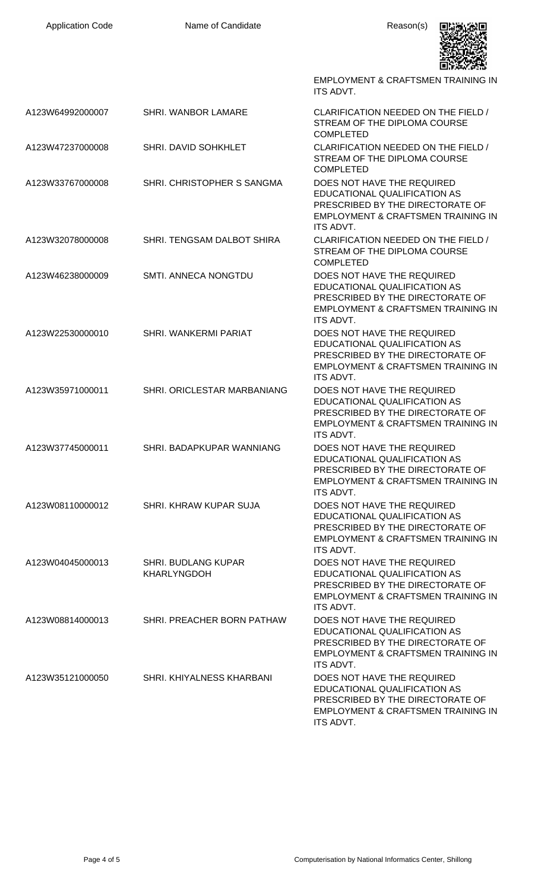| <b>Application Code</b> | Name of Candidate                                | Reason(s)                                                                                                                                                           |
|-------------------------|--------------------------------------------------|---------------------------------------------------------------------------------------------------------------------------------------------------------------------|
|                         |                                                  | <b>EMPLOYMENT &amp; CRAFTSMEN TRAINING IN</b><br>ITS ADVT.                                                                                                          |
| A123W64992000007        | SHRI. WANBOR LAMARE                              | CLARIFICATION NEEDED ON THE FIELD /<br>STREAM OF THE DIPLOMA COURSE<br><b>COMPLETED</b>                                                                             |
| A123W47237000008        | SHRI. DAVID SOHKHLET                             | CLARIFICATION NEEDED ON THE FIELD /<br>STREAM OF THE DIPLOMA COURSE<br><b>COMPLETED</b>                                                                             |
| A123W33767000008        | SHRI. CHRISTOPHER S SANGMA                       | DOES NOT HAVE THE REQUIRED<br>EDUCATIONAL QUALIFICATION AS<br>PRESCRIBED BY THE DIRECTORATE OF<br><b>EMPLOYMENT &amp; CRAFTSMEN TRAINING IN</b><br>ITS ADVT.        |
| A123W32078000008        | SHRI. TENGSAM DALBOT SHIRA                       | CLARIFICATION NEEDED ON THE FIELD /<br>STREAM OF THE DIPLOMA COURSE<br><b>COMPLETED</b>                                                                             |
| A123W46238000009        | SMTI. ANNECA NONGTDU                             | DOES NOT HAVE THE REQUIRED<br>EDUCATIONAL QUALIFICATION AS<br>PRESCRIBED BY THE DIRECTORATE OF<br><b>EMPLOYMENT &amp; CRAFTSMEN TRAINING IN</b><br><b>ITS ADVT.</b> |
| A123W22530000010        | SHRI. WANKERMI PARIAT                            | DOES NOT HAVE THE REQUIRED<br>EDUCATIONAL QUALIFICATION AS<br>PRESCRIBED BY THE DIRECTORATE OF<br><b>EMPLOYMENT &amp; CRAFTSMEN TRAINING IN</b><br>ITS ADVT.        |
| A123W35971000011        | SHRI, ORICLESTAR MARBANIANG                      | DOES NOT HAVE THE REQUIRED<br>EDUCATIONAL QUALIFICATION AS<br>PRESCRIBED BY THE DIRECTORATE OF<br>EMPLOYMENT & CRAFTSMEN TRAINING IN<br><b>ITS ADVT.</b>            |
| A123W37745000011        | SHRI. BADAPKUPAR WANNIANG                        | DOES NOT HAVE THE REQUIRED<br>EDUCATIONAL QUALIFICATION AS<br>PRESCRIBED BY THE DIRECTORATE OF<br><b>EMPLOYMENT &amp; CRAFTSMEN TRAINING IN</b><br>ITS ADVT.        |
| A123W08110000012        | SHRI, KHRAW KUPAR SUJA                           | DOES NOT HAVE THE REQUIRED<br>EDUCATIONAL QUALIFICATION AS<br>PRESCRIBED BY THE DIRECTORATE OF<br><b>EMPLOYMENT &amp; CRAFTSMEN TRAINING IN</b><br>ITS ADVT.        |
| A123W04045000013        | <b>SHRI. BUDLANG KUPAR</b><br><b>KHARLYNGDOH</b> | DOES NOT HAVE THE REQUIRED<br>EDUCATIONAL QUALIFICATION AS<br>PRESCRIBED BY THE DIRECTORATE OF<br><b>EMPLOYMENT &amp; CRAFTSMEN TRAINING IN</b><br>ITS ADVT.        |
| A123W08814000013        | SHRI. PREACHER BORN PATHAW                       | DOES NOT HAVE THE REQUIRED<br>EDUCATIONAL QUALIFICATION AS<br>PRESCRIBED BY THE DIRECTORATE OF<br><b>EMPLOYMENT &amp; CRAFTSMEN TRAINING IN</b><br>ITS ADVT.        |
| A123W35121000050        | SHRI. KHIYALNESS KHARBANI                        | DOES NOT HAVE THE REQUIRED<br>EDUCATIONAL QUALIFICATION AS<br>PRESCRIBED BY THE DIRECTORATE OF<br><b>EMPLOYMENT &amp; CRAFTSMEN TRAINING IN</b><br>ITS ADVT.        |